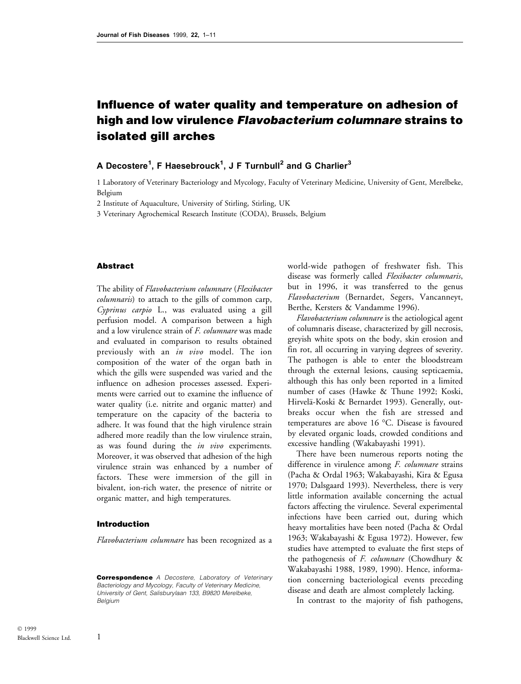# Influence of water quality and temperature on adhesion of high and low virulence Flavobacterium columnare strains to isolated gill arches

# A Decostere<sup>1</sup>, F Haesebrouck<sup>1</sup>, J F Turnbull<sup>2</sup> and G Charlier<sup>3</sup>

1 Laboratory of Veterinary Bacteriology and Mycology, Faculty of Veterinary Medicine, University of Gent, Merelbeke, Belgium

2 Institute of Aquaculture, University of Stirling, Stirling, UK

3 Veterinary Agrochemical Research Institute (CODA), Brussels, Belgium

### Abstract

The ability of Flavobacterium columnare (Flexibacter columnaris) to attach to the gills of common carp, Cyprinus carpio L., was evaluated using a gill perfusion model. A comparison between a high and a low virulence strain of F. columnare was made and evaluated in comparison to results obtained previously with an in vivo model. The ion composition of the water of the organ bath in which the gills were suspended was varied and the influence on adhesion processes assessed. Experiments were carried out to examine the influence of water quality (i.e. nitrite and organic matter) and temperature on the capacity of the bacteria to adhere. It was found that the high virulence strain adhered more readily than the low virulence strain, as was found during the in vivo experiments. Moreover, it was observed that adhesion of the high virulence strain was enhanced by a number of factors. These were immersion of the gill in bivalent, ion-rich water, the presence of nitrite or organic matter, and high temperatures.

#### Introduction

1

Flavobacterium columnare has been recognized as a

**Correspondence** A Decostere, Laboratory of Veterinary Bacteriology and Mycology, Faculty of Veterinary Medicine, University of Gent, Salisburylaan 133, B9820 Merelbeke, Belgium

world-wide pathogen of freshwater fish. This disease was formerly called Flexibacter columnaris, but in 1996, it was transferred to the genus Flavobacterium (Bernardet, Segers, Vancanneyt, Berthe, Kersters & Vandamme 1996).

Flavobacterium columnare is the aetiological agent of columnaris disease, characterized by gill necrosis, greyish white spots on the body, skin erosion and fin rot, all occurring in varying degrees of severity. The pathogen is able to enter the bloodstream through the external lesions, causing septicaemia, although this has only been reported in a limited number of cases (Hawke & Thune 1992; Koski, Hirvelä-Koski & Bernardet 1993). Generally, outbreaks occur when the fish are stressed and temperatures are above 16 °C. Disease is favoured by elevated organic loads, crowded conditions and excessive handling (Wakabayashi 1991).

There have been numerous reports noting the difference in virulence among F. columnare strains (Pacha & Ordal 1963; Wakabayashi, Kira & Egusa 1970; Dalsgaard 1993). Nevertheless, there is very little information available concerning the actual factors affecting the virulence. Several experimental infections have been carried out, during which heavy mortalities have been noted (Pacha & Ordal 1963; Wakabayashi & Egusa 1972). However, few studies have attempted to evaluate the first steps of the pathogenesis of  $F.$  columnare (Chowdhury  $\&$ Wakabayashi 1988, 1989, 1990). Hence, information concerning bacteriological events preceding disease and death are almost completely lacking.

In contrast to the majority of fish pathogens,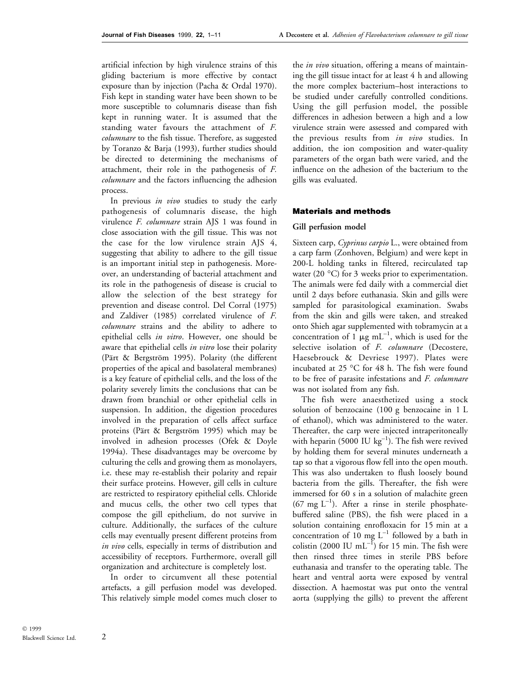artificial infection by high virulence strains of this gliding bacterium is more effective by contact exposure than by injection (Pacha & Ordal 1970). Fish kept in standing water have been shown to be more susceptible to columnaris disease than fish kept in running water. It is assumed that the standing water favours the attachment of F. columnare to the fish tissue. Therefore, as suggested by Toranzo & Barja (1993), further studies should be directed to determining the mechanisms of attachment, their role in the pathogenesis of F. columnare and the factors influencing the adhesion process.

In previous in vivo studies to study the early pathogenesis of columnaris disease, the high virulence F. columnare strain AJS 1 was found in close association with the gill tissue. This was not the case for the low virulence strain AJS 4, suggesting that ability to adhere to the gill tissue is an important initial step in pathogenesis. Moreover, an understanding of bacterial attachment and its role in the pathogenesis of disease is crucial to allow the selection of the best strategy for prevention and disease control. Del Corral (1975) and Zaldiver (1985) correlated virulence of F. columnare strains and the ability to adhere to epithelial cells in vitro. However, one should be aware that epithelial cells in vitro lose their polarity (Pärt & Bergström 1995). Polarity (the different properties of the apical and basolateral membranes) is a key feature of epithelial cells, and the loss of the polarity severely limits the conclusions that can be drawn from branchial or other epithelial cells in suspension. In addition, the digestion procedures involved in the preparation of cells affect surface proteins (Pärt & Bergström 1995) which may be involved in adhesion processes (Ofek & Doyle 1994a). These disadvantages may be overcome by culturing the cells and growing them as monolayers, i.e. these may re-establish their polarity and repair their surface proteins. However, gill cells in culture are restricted to respiratory epithelial cells. Chloride and mucus cells, the other two cell types that compose the gill epithelium, do not survive in culture. Additionally, the surfaces of the culture cells may eventually present different proteins from in vivo cells, especially in terms of distribution and accessibility of receptors. Furthermore, overall gill organization and architecture is completely lost.

In order to circumvent all these potential artefacts, a gill perfusion model was developed. This relatively simple model comes much closer to

the in vivo situation, offering a means of maintaining the gill tissue intact for at least 4 h and allowing the more complex bacterium-host interactions to be studied under carefully controlled conditions. Using the gill perfusion model, the possible differences in adhesion between a high and a low virulence strain were assessed and compared with the previous results from in vivo studies. In addition, the ion composition and water-quality parameters of the organ bath were varied, and the influence on the adhesion of the bacterium to the gills was evaluated.

#### Materials and methods

#### Gill perfusion model

Sixteen carp, Cyprinus carpio L., were obtained from a carp farm (Zonhoven, Belgium) and were kept in 200-L holding tanks in filtered, recirculated tap water (20 °C) for 3 weeks prior to experimentation. The animals were fed daily with a commercial diet until 2 days before euthanasia. Skin and gills were sampled for parasitological examination. Swabs from the skin and gills were taken, and streaked onto Shieh agar supplemented with tobramycin at a concentration of 1  $\mu$ g mL<sup>-1</sup>, which is used for the selective isolation of F. columnare (Decostere, Haesebrouck & Devriese 1997). Plates were incubated at 25 °C for 48 h. The fish were found to be free of parasite infestations and F. columnare was not isolated from any fish.

The fish were anaesthetized using a stock solution of benzocaine (100 g benzocaine in 1 L of ethanol), which was administered to the water. Thereafter, the carp were injected intraperitoneally with heparin (5000 IU  $kg^{-1}$ ). The fish were revived by holding them for several minutes underneath a tap so that a vigorous flow fell into the open mouth. This was also undertaken to flush loosely bound bacteria from the gills. Thereafter, the fish were immersed for 60 s in a solution of malachite green  $(67 \text{ mg } L^{-1})$ . After a rinse in sterile phosphatebuffered saline (PBS), the fish were placed in a solution containing enrofloxacin for 15 min at a concentration of 10 mg  $L^{-1}$  followed by a bath in colistin (2000 IU mL $^{-1}$ ) for 15 min. The fish were then rinsed three times in sterile PBS before euthanasia and transfer to the operating table. The heart and ventral aorta were exposed by ventral dissection. A haemostat was put onto the ventral aorta (supplying the gills) to prevent the afferent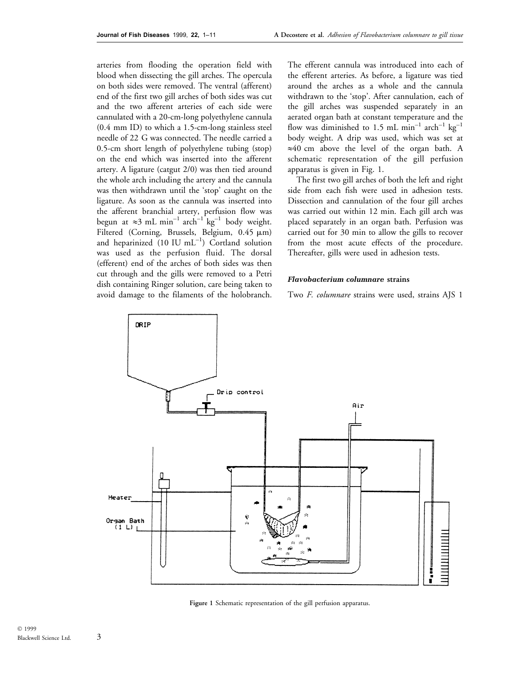arteries from flooding the operation field with blood when dissecting the gill arches. The opercula on both sides were removed. The ventral (afferent) end of the first two gill arches of both sides was cut and the two afferent arteries of each side were cannulated with a 20-cm-long polyethylene cannula (0.4 mm ID) to which a 1.5-cm-long stainless steel needle of 22 G was connected. The needle carried a 0.5-cm short length of polyethylene tubing (stop) on the end which was inserted into the afferent artery. A ligature (catgut 2/0) was then tied around the whole arch including the artery and the cannula was then withdrawn until the `stop' caught on the ligature. As soon as the cannula was inserted into the afferent branchial artery, perfusion flow was begun at  $\approx 3$  mL min<sup>-1</sup> arch<sup>-1</sup> kg<sup>-1</sup> body weight. Filtered (Corning, Brussels, Belgium, 0.45  $\mu$ m) and heparinized  $(10 \text{ IU } mL^{-1})$  Cortland solution was used as the perfusion fluid. The dorsal (efferent) end of the arches of both sides was then cut through and the gills were removed to a Petri dish containing Ringer solution, care being taken to avoid damage to the filaments of the holobranch.

The efferent cannula was introduced into each of the efferent arteries. As before, a ligature was tied around the arches as a whole and the cannula withdrawn to the `stop'. After cannulation, each of the gill arches was suspended separately in an aerated organ bath at constant temperature and the flow was diminished to 1.5 mL min<sup>-1</sup> arch<sup>-1</sup> kg<sup>-1</sup> body weight. A drip was used, which was set at  $\approx 40$  cm above the level of the organ bath. A schematic representation of the gill perfusion apparatus is given in Fig. 1.

The first two gill arches of both the left and right side from each fish were used in adhesion tests. Dissection and cannulation of the four gill arches was carried out within 12 min. Each gill arch was placed separately in an organ bath. Perfusion was carried out for 30 min to allow the gills to recover from the most acute effects of the procedure. Thereafter, gills were used in adhesion tests.

## Flavobacterium columnare strains

Two F. columnare strains were used, strains AJS 1



Figure 1 Schematic representation of the gill perfusion apparatus.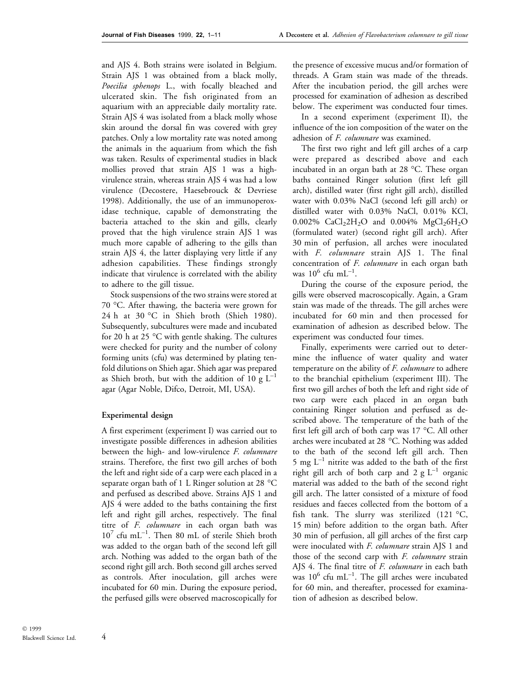and AJS 4. Both strains were isolated in Belgium. Strain AJS 1 was obtained from a black molly, Poecilia sphenops L., with focally bleached and ulcerated skin. The fish originated from an aquarium with an appreciable daily mortality rate. Strain AJS 4 was isolated from a black molly whose skin around the dorsal fin was covered with grey patches. Only a low mortality rate was noted among the animals in the aquarium from which the fish was taken. Results of experimental studies in black mollies proved that strain AJS 1 was a highvirulence strain, whereas strain AJS 4 was had a low virulence (Decostere, Haesebrouck & Devriese 1998). Additionally, the use of an immunoperoxidase technique, capable of demonstrating the bacteria attached to the skin and gills, clearly proved that the high virulence strain AJS 1 was much more capable of adhering to the gills than strain AJS 4, the latter displaying very little if any adhesion capabilities. These findings strongly indicate that virulence is correlated with the ability to adhere to the gill tissue.

Stock suspensions of the two strains were stored at 70 °C. After thawing, the bacteria were grown for 24 h at 30 °C in Shieh broth (Shieh 1980). Subsequently, subcultures were made and incubated for 20 h at 25 °C with gentle shaking. The cultures were checked for purity and the number of colony forming units (cfu) was determined by plating tenfold dilutions on Shieh agar. Shieh agar was prepared as Shieh broth, but with the addition of 10 g  $L^{-1}$ agar (Agar Noble, Difco, Detroit, MI, USA).

#### Experimental design

A first experiment (experiment I) was carried out to investigate possible differences in adhesion abilities between the high- and low-virulence F. columnare strains. Therefore, the first two gill arches of both the left and right side of a carp were each placed in a separate organ bath of 1 L Ringer solution at 28 °C and perfused as described above. Strains AJS 1 and AJS 4 were added to the baths containing the first left and right gill arches, respectively. The final titre of F. columnare in each organ bath was  $10^7$  cfu mL<sup>-1</sup>. Then 80 mL of sterile Shieh broth was added to the organ bath of the second left gill arch. Nothing was added to the organ bath of the second right gill arch. Both second gill arches served as controls. After inoculation, gill arches were incubated for 60 min. During the exposure period, the perfused gills were observed macroscopically for

the presence of excessive mucus and/or formation of threads. A Gram stain was made of the threads. After the incubation period, the gill arches were processed for examination of adhesion as described below. The experiment was conducted four times.

In a second experiment (experiment II), the influence of the ion composition of the water on the adhesion of F. columnare was examined.

The first two right and left gill arches of a carp were prepared as described above and each incubated in an organ bath at 28 °C. These organ baths contained Ringer solution (first left gill arch), distilled water (first right gill arch), distilled water with 0.03% NaCl (second left gill arch) or distilled water with 0.03% NaCl, 0.01% KCl, 0.002%  $CaCl<sub>2</sub>2H<sub>2</sub>O$  and 0.004%  $MgCl<sub>2</sub>6H<sub>2</sub>O$ (formulated water) (second right gill arch). After 30 min of perfusion, all arches were inoculated with F. columnare strain AJS 1. The final concentration of F. columnare in each organ bath was  $10^6$  cfu mL<sup>-1</sup>.

During the course of the exposure period, the gills were observed macroscopically. Again, a Gram stain was made of the threads. The gill arches were incubated for 60 min and then processed for examination of adhesion as described below. The experiment was conducted four times.

Finally, experiments were carried out to determine the influence of water quality and water temperature on the ability of F. columnare to adhere to the branchial epithelium (experiment III). The first two gill arches of both the left and right side of two carp were each placed in an organ bath containing Ringer solution and perfused as described above. The temperature of the bath of the first left gill arch of both carp was 17 °C. All other arches were incubated at 28 °C. Nothing was added to the bath of the second left gill arch. Then 5 mg  $L^{-1}$  nitrite was added to the bath of the first right gill arch of both carp and  $2 g L^{-1}$  organic material was added to the bath of the second right gill arch. The latter consisted of a mixture of food residues and faeces collected from the bottom of a fish tank. The slurry was sterilized  $(121 \text{ °C},$ 15 min) before addition to the organ bath. After 30 min of perfusion, all gill arches of the first carp were inoculated with *F. columnare* strain AJS 1 and those of the second carp with F. columnare strain AJS 4. The final titre of F. columnare in each bath was  $10^6$  cfu mL<sup>-1</sup>. The gill arches were incubated for 60 min, and thereafter, processed for examination of adhesion as described below.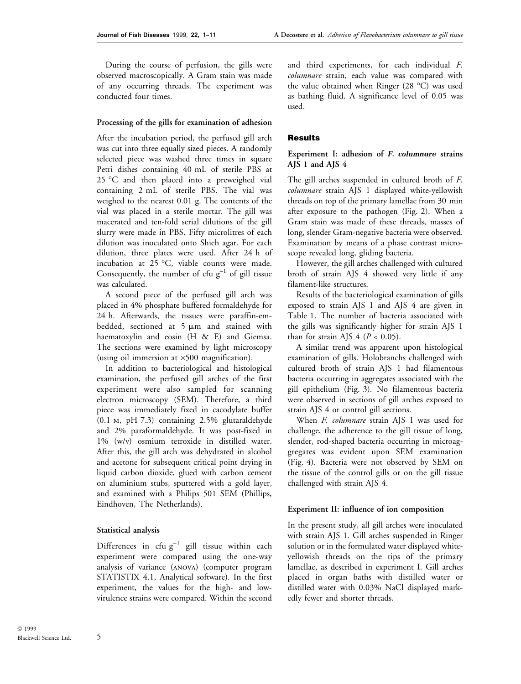During the course of perfusion, the gills were observed macroscopically. A Gram stain was made of any occurring threads. The experiment was conducted four times.

#### Processing of the gills for examination of adhesion

After the incubation period, the perfused gill arch was cut into three equally sized pieces. A randomly selected piece was washed three times in square Petri dishes containing 40 mL of sterile PBS at 25 °C and then placed into a preweighed vial containing 2 mL of sterile PBS. The vial was weighed to the nearest 0.01 g. The contents of the vial was placed in a sterile mortar. The gill was macerated and ten-fold serial dilutions of the gill slurry were made in PBS. Fifty microlitres of each dilution was inoculated onto Shieh agar. For each dilution, three plates were used. After 24 h of incubation at 25 °C, viable counts were made. Consequently, the number of cfu  $g^{-1}$  of gill tissue was calculated.

A second piece of the perfused gill arch was placed in 4% phosphate buffered formaldehyde for 24 h. Afterwards, the tissues were paraffin-embedded, sectioned at  $5 \mu m$  and stained with haematoxylin and eosin (H & E) and Giemsa. The sections were examined by light microscopy (using oil immersion at  $\times$ 500 magnification).

In addition to bacteriological and histological examination, the perfused gill arches of the first experiment were also sampled for scanning electron microscopy (SEM). Therefore, a third piece was immediately fixed in cacodylate buffer (0.1 m, pH 7.3) containing 2.5% glutaraldehyde and 2% paraformaldehyde. It was post-fixed in 1% (w/v) osmium tetroxide in distilled water. After this, the gill arch was dehydrated in alcohol and acetone for subsequent critical point drying in liquid carbon dioxide, glued with carbon cement on aluminium stubs, sputtered with a gold layer, and examined with a Philips 501 SEM (Phillips, Eindhoven, The Netherlands).

## Statistical analysis

Differences in cfu  $g^{-1}$  gill tissue within each experiment were compared using the one-way analysis of variance (anova) (computer program STATISTIX 4.1, Analytical software). In the first experiment, the values for the high- and lowvirulence strains were compared. Within the second and third experiments, for each individual F. columnare strain, each value was compared with the value obtained when Ringer (28 °C) was used as bathing fluid. A significance level of 0.05 was used.

## **Results**

# Experiment I: adhesion of F. columnare strains AJS 1 and AJS 4

The gill arches suspended in cultured broth of F. columnare strain AJS 1 displayed white-yellowish threads on top of the primary lamellae from 30 min after exposure to the pathogen (Fig. 2). When a Gram stain was made of these threads, masses of long, slender Gram-negative bacteria were observed. Examination by means of a phase contrast microscope revealed long, gliding bacteria.

However, the gill arches challenged with cultured broth of strain AJS 4 showed very little if any filament-like structures.

Results of the bacteriological examination of gills exposed to strain AJS 1 and AJS 4 are given in Table 1. The number of bacteria associated with the gills was significantly higher for strain AJS 1 than for strain AJS  $4 (P < 0.05)$ .

A similar trend was apparent upon histological examination of gills. Holobranchs challenged with cultured broth of strain AJS 1 had filamentous bacteria occurring in aggregates associated with the gill epithelium (Fig. 3). No filamentous bacteria were observed in sections of gill arches exposed to strain AJS 4 or control gill sections.

When F. columnare strain AJS 1 was used for challenge, the adherence to the gill tissue of long, slender, rod-shaped bacteria occurring in microaggregates was evident upon SEM examination (Fig. 4). Bacteria were not observed by SEM on the tissue of the control gills or on the gill tissue challenged with strain AJS 4.

#### Experiment II: influence of ion composition

In the present study, all gill arches were inoculated with strain AJS 1. Gill arches suspended in Ringer solution or in the formulated water displayed whiteyellowish threads on the tips of the primary lamellae, as described in experiment I. Gill arches placed in organ baths with distilled water or distilled water with 0.03% NaCl displayed markedly fewer and shorter threads.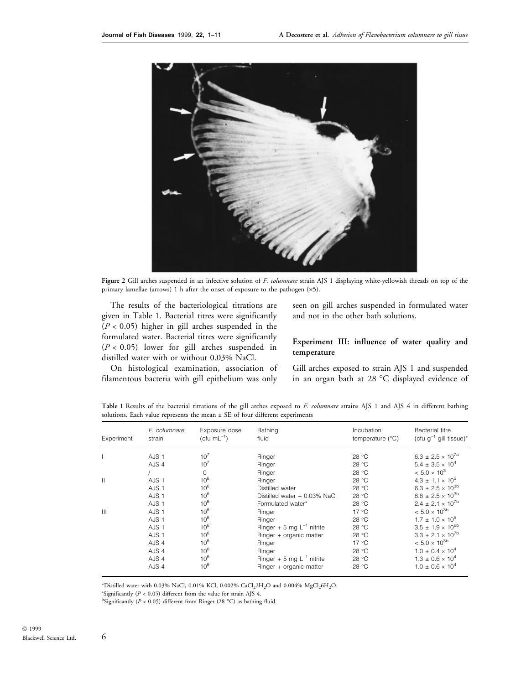

Figure 2 Gill arches suspended in an infective solution of F. columnare strain AJS 1 displaying white-yellowish threads on top of the primary lamellae (arrows) 1 h after the onset of exposure to the pathogen  $(x5)$ .

The results of the bacteriological titrations are given in Table 1. Bacterial titres were significantly  $(P < 0.05)$  higher in gill arches suspended in the formulated water. Bacterial titres were significantly  $(P < 0.05)$  lower for gill arches suspended in distilled water with or without 0.03% NaCl.

On histological examination, association of filamentous bacteria with gill epithelium was only

seen on gill arches suspended in formulated water and not in the other bath solutions.

# Experiment III: influence of water quality and temperature

Gill arches exposed to strain AJS 1 and suspended in an organ bath at 28 °C displayed evidence of

| Experiment     | F. columnare<br>strain | Exposure dose<br>$(cfu mL-1)$ | Bathing<br>fluid               | Incubation<br>temperature $(^{\circ}C)$ | Bacterial titre<br>(cfu $q^{-1}$ gill tissue)* |
|----------------|------------------------|-------------------------------|--------------------------------|-----------------------------------------|------------------------------------------------|
|                | AJS <sub>1</sub>       | $10^{7}$                      | Ringer                         | 28 °C                                   | $6.3 \pm 2.5 \times 10^{7a}$                   |
|                | AJS 4                  | $10^{7}$                      | Ringer                         | 28 °C                                   | $5.4 \pm 3.5 \times 10^4$                      |
|                |                        | O                             | Ringer                         | 28 °C                                   | $< 5.0 \times 10^{3}$                          |
| $\mathbf{H}$   | AJS <sub>1</sub>       | $10^{6}$                      | Ringer                         | 28 °C                                   | $4.3 \pm 1.1 \times 10^{5}$                    |
|                | AJS <sub>1</sub>       | $10^{6}$                      | Distilled water                | 28 °C                                   | $6.3 \pm 2.5 \times 10^{3b}$                   |
|                | AJS <sub>1</sub>       | $10^{6}$                      | Distilled water + 0.03% NaCl   | 28 °C                                   | $8.8 \pm 2.5 \times 10^{3b}$                   |
|                | AJS <sub>1</sub>       | $10^{6}$                      | Formulated water*              | 28 °C                                   | $2.4 \pm 2.1 \times 10^{7b}$                   |
| $\mathbf{III}$ | AJS <sub>1</sub>       | $10^{6}$                      | Ringer                         | $17^{\circ}$ C                          | $< 5.0 \times 10^{3b}$                         |
|                | AJS <sub>1</sub>       | $10^{6}$                      | Ringer                         | 28 °C                                   | $1.7 \pm 1.0 \times 10^5$                      |
|                | AJS <sub>1</sub>       | $10^{6}$                      | Ringer + 5 mg $L^{-1}$ nitrite | 28 °C                                   | $3.5 \pm 1.9 \times 10^{6b}$                   |
|                | AJS <sub>1</sub>       | $10^{6}$                      | Ringer + organic matter        | 28 °C                                   | $3.3 \pm 2.1 \times 10^{7b}$                   |
|                | AJS 4                  | $10^{6}$                      | Ringer                         | $17^{\circ}$ C                          | $< 5.0 \times 10^{3b}$                         |
|                | AJS 4                  | $10^{6}$                      | Ringer                         | 28 °C                                   | $1.0 \pm 0.4 \times 10^4$                      |
|                | AJS 4                  | $10^{6}$                      | Ringer + 5 mg $L^{-1}$ nitrite | 28 °C                                   | $1.3 \pm 0.6 \times 10^4$                      |
|                | AJS 4                  | $10^6$                        | Ringer + organic matter        | 28 °C                                   | $1.0 \pm 0.6 \times 10^4$                      |

Table 1 Results of the bacterial titrations of the gill arches exposed to F. columnare strains AJS 1 and AJS 4 in different bathing solutions. Each value represents the mean  $\pm$  SE of four different experiments

\*Distilled water with 0.03% NaCl, 0.01% KCl, 0.002% CaCl<sub>2</sub>2H<sub>2</sub>O and 0.004% MgCl<sub>2</sub>6H<sub>2</sub>O.

<sup>a</sup>Significantly ( $P < 0.05$ ) different from the value for strain AJS 4.

<sup>b</sup>Significantly ( $P < 0.05$ ) different from Ringer (28 °C) as bathing fluid.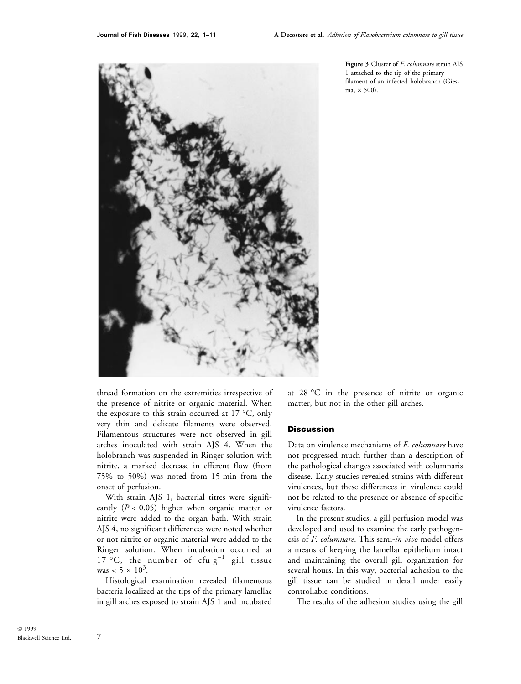

Figure 3 Cluster of F. columnare strain AJS 1 attached to the tip of the primary filament of an infected holobranch (Giesma,  $\times$  500).

thread formation on the extremities irrespective of the presence of nitrite or organic material. When the exposure to this strain occurred at 17 °C, only very thin and delicate filaments were observed. Filamentous structures were not observed in gill arches inoculated with strain AJS 4. When the holobranch was suspended in Ringer solution with nitrite, a marked decrease in efferent flow (from 75% to 50%) was noted from 15 min from the onset of perfusion.

With strain AJS 1, bacterial titres were significantly ( $P < 0.05$ ) higher when organic matter or nitrite were added to the organ bath. With strain AJS 4, no significant differences were noted whether or not nitrite or organic material were added to the Ringer solution. When incubation occurred at 17 °C, the number of cfu  $g^{-1}$  gill tissue was  $< 5 \times 10^3$ .

Histological examination revealed filamentous bacteria localized at the tips of the primary lamellae in gill arches exposed to strain AJS 1 and incubated at 28 °C in the presence of nitrite or organic matter, but not in the other gill arches.

# **Discussion**

Data on virulence mechanisms of F. columnare have not progressed much further than a description of the pathological changes associated with columnaris disease. Early studies revealed strains with different virulences, but these differences in virulence could not be related to the presence or absence of specific virulence factors.

In the present studies, a gill perfusion model was developed and used to examine the early pathogenesis of F. columnare. This semi-in vivo model offers a means of keeping the lamellar epithelium intact and maintaining the overall gill organization for several hours. In this way, bacterial adhesion to the gill tissue can be studied in detail under easily controllable conditions.

The results of the adhesion studies using the gill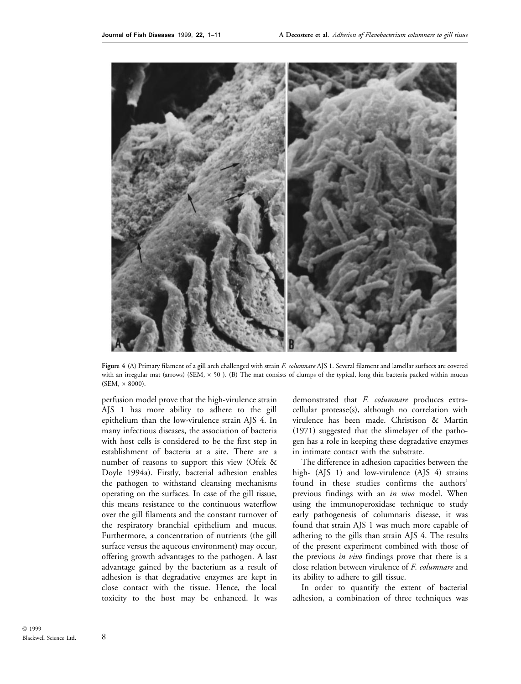

Figure 4 (A) Primary filament of a gill arch challenged with strain F. columnare AJS 1. Several filament and lamellar surfaces are covered with an irregular mat (arrows) (SEM,  $\times$  50). (B) The mat consists of clumps of the typical, long thin bacteria packed within mucus  $(SEM, \times 8000)$ .

perfusion model prove that the high-virulence strain AJS 1 has more ability to adhere to the gill epithelium than the low-virulence strain AJS 4. In many infectious diseases, the association of bacteria with host cells is considered to be the first step in establishment of bacteria at a site. There are a number of reasons to support this view (Ofek & Doyle 1994a). Firstly, bacterial adhesion enables the pathogen to withstand cleansing mechanisms operating on the surfaces. In case of the gill tissue, this means resistance to the continuous waterflow over the gill filaments and the constant turnover of the respiratory branchial epithelium and mucus. Furthermore, a concentration of nutrients (the gill surface versus the aqueous environment) may occur, offering growth advantages to the pathogen. A last advantage gained by the bacterium as a result of adhesion is that degradative enzymes are kept in close contact with the tissue. Hence, the local toxicity to the host may be enhanced. It was demonstrated that F. columnare produces extracellular protease(s), although no correlation with virulence has been made. Christison & Martin (1971) suggested that the slimelayer of the pathogen has a role in keeping these degradative enzymes in intimate contact with the substrate.

The difference in adhesion capacities between the high- (AJS 1) and low-virulence (AJS 4) strains found in these studies confirms the authors' previous findings with an in vivo model. When using the immunoperoxidase technique to study early pathogenesis of columnaris disease, it was found that strain AJS 1 was much more capable of adhering to the gills than strain AJS 4. The results of the present experiment combined with those of the previous *in vivo* findings prove that there is a close relation between virulence of F. columnare and its ability to adhere to gill tissue.

In order to quantify the extent of bacterial adhesion, a combination of three techniques was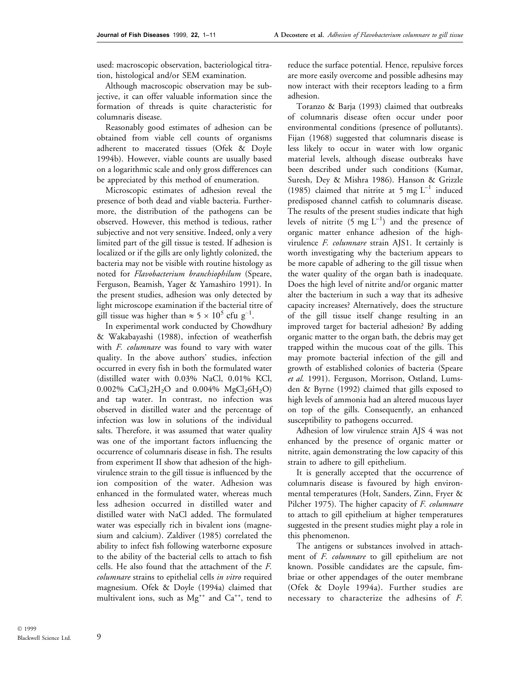used: macroscopic observation, bacteriological titration, histological and/or SEM examination.

Although macroscopic observation may be subjective, it can offer valuable information since the formation of threads is quite characteristic for columnaris disease.

Reasonably good estimates of adhesion can be obtained from viable cell counts of organisms adherent to macerated tissues (Ofek & Doyle 1994b). However, viable counts are usually based on a logarithmic scale and only gross differences can be appreciated by this method of enumeration.

Microscopic estimates of adhesion reveal the presence of both dead and viable bacteria. Furthermore, the distribution of the pathogens can be observed. However, this method is tedious, rather subjective and not very sensitive. Indeed, only a very limited part of the gill tissue is tested. If adhesion is localized or if the gills are only lightly colonized, the bacteria may not be visible with routine histology as noted for Flavobacterium branchiophilum (Speare, Ferguson, Beamish, Yager & Yamashiro 1991). In the present studies, adhesion was only detected by light microscope examination if the bacterial titre of gill tissue was higher than  $\approx 5 \times 10^5$  cfu g<sup>-1</sup>.

In experimental work conducted by Chowdhury & Wakabayashi (1988), infection of weatherfish with F. columnare was found to vary with water quality. In the above authors' studies, infection occurred in every fish in both the formulated water (distilled water with 0.03% NaCl, 0.01% KCl, 0.002% CaCl<sub>2</sub>2H<sub>2</sub>O and 0.004% MgCl<sub>2</sub>6H<sub>2</sub>O) and tap water. In contrast, no infection was observed in distilled water and the percentage of infection was low in solutions of the individual salts. Therefore, it was assumed that water quality was one of the important factors influencing the occurrence of columnaris disease in fish. The results from experiment II show that adhesion of the highvirulence strain to the gill tissue is influenced by the ion composition of the water. Adhesion was enhanced in the formulated water, whereas much less adhesion occurred in distilled water and distilled water with NaCl added. The formulated water was especially rich in bivalent ions (magnesium and calcium). Zaldiver (1985) correlated the ability to infect fish following waterborne exposure to the ability of the bacterial cells to attach to fish cells. He also found that the attachment of the F. columnare strains to epithelial cells in vitro required magnesium. Ofek & Doyle (1994a) claimed that multivalent ions, such as  $Mg^{++}$  and  $Ca^{++}$ , tend to

reduce the surface potential. Hence, repulsive forces are more easily overcome and possible adhesins may now interact with their receptors leading to a firm adhesion.

Toranzo & Barja (1993) claimed that outbreaks of columnaris disease often occur under poor environmental conditions (presence of pollutants). Fijan (1968) suggested that columnaris disease is less likely to occur in water with low organic material levels, although disease outbreaks have been described under such conditions (Kumar, Suresh, Dey & Mishra 1986). Hanson & Grizzle (1985) claimed that nitrite at 5 mg  $L^{-1}$  induced predisposed channel catfish to columnaris disease. The results of the present studies indicate that high levels of nitrite  $(5 \text{ mg } L^{-1})$  and the presence of organic matter enhance adhesion of the highvirulence F. columnare strain AJS1. It certainly is worth investigating why the bacterium appears to be more capable of adhering to the gill tissue when the water quality of the organ bath is inadequate. Does the high level of nitrite and/or organic matter alter the bacterium in such a way that its adhesive capacity increases? Alternatively, does the structure of the gill tissue itself change resulting in an improved target for bacterial adhesion? By adding organic matter to the organ bath, the debris may get trapped within the mucous coat of the gills. This may promote bacterial infection of the gill and growth of established colonies of bacteria (Speare et al. 1991). Ferguson, Morrison, Ostland, Lumsden & Byrne (1992) claimed that gills exposed to high levels of ammonia had an altered mucous layer on top of the gills. Consequently, an enhanced susceptibility to pathogens occurred.

Adhesion of low virulence strain AJS 4 was not enhanced by the presence of organic matter or nitrite, again demonstrating the low capacity of this strain to adhere to gill epithelium.

It is generally accepted that the occurrence of columnaris disease is favoured by high environmental temperatures (Holt, Sanders, Zinn, Fryer & Pilcher 1975). The higher capacity of F. columnare to attach to gill epithelium at higher temperatures suggested in the present studies might play a role in this phenomenon.

The antigens or substances involved in attachment of F. columnare to gill epithelium are not known. Possible candidates are the capsule, fimbriae or other appendages of the outer membrane (Ofek & Doyle 1994a). Further studies are necessary to characterize the adhesins of F.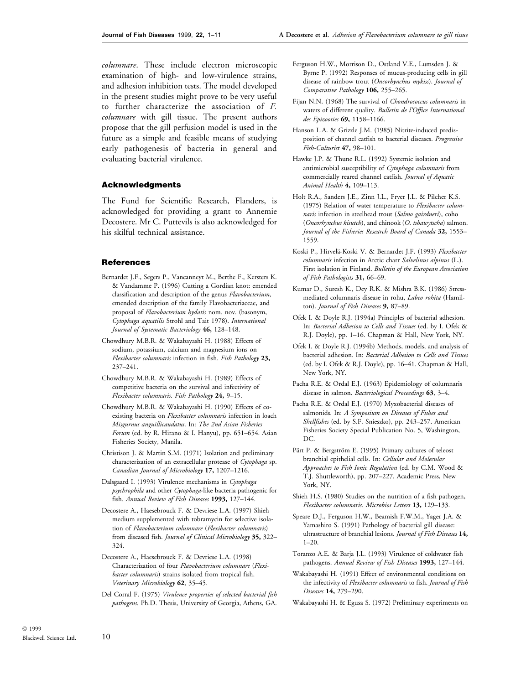columnare. These include electron microscopic examination of high- and low-virulence strains, and adhesion inhibition tests. The model developed in the present studies might prove to be very useful to further characterize the association of F. columnare with gill tissue. The present authors propose that the gill perfusion model is used in the future as a simple and feasible means of studying early pathogenesis of bacteria in general and evaluating bacterial virulence.

#### Acknowledgments

The Fund for Scientific Research, Flanders, is acknowledged for providing a grant to Annemie Decostere. Mr C. Puttevils is also acknowledged for his skilful technical assistance.

#### **References**

- Bernardet J.F., Segers P., Vancanneyt M., Berthe F., Kersters K. & Vandamme P. (1996) Cutting a Gordian knot: emended classification and description of the genus Flavobacterium, emended description of the family Flavobacteriaceae, and proposal of Flavobacterium hydatis nom. nov. (basonym, Cytophaga aquatilis Strohl and Tait 1978). International Journal of Systematic Bacteriology 46, 128-148.
- Chowdhury M.B.R. & Wakabayashi H. (1988) Effects of sodium, potassium, calcium and magnesium ions on Flexibacter columnaris infection in fish. Fish Pathology 23, 237±241.
- Chowdhury M.B.R. & Wakabayashi H. (1989) Effects of competitive bacteria on the survival and infectivity of Flexibacter columnaris. Fish Pathology 24, 9-15.
- Chowdhury M.B.R. & Wakabayashi H. (1990) Effects of coexisting bacteria on Flexibacter columnaris infection in loach Misgurnus anguillicaudatus. In: The 2nd Asian Fisheries Forum (ed. by R. Hirano & I. Hanyu), pp. 651-654. Asian Fisheries Society, Manila.
- Christison J. & Martin S.M. (1971) Isolation and preliminary characterization of an extracellular protease of Cytophaga sp. Canadian Journal of Microbiology 17, 1207-1216.
- Dalsgaard I. (1993) Virulence mechanisms in Cytophaga psychrophila and other Cytophaga-like bacteria pathogenic for fish. Annual Review of Fish Diseases 1993, 127-144.
- Decostere A., Haesebrouck F. & Devriese L.A. (1997) Shieh medium supplemented with tobramycin for selective isolation of Flavobacterium columnare (Flexibacter columnaris) from diseased fish. Journal of Clinical Microbiology 35, 322-324.
- Decostere A., Haesebrouck F. & Devriese L.A. (1998) Characterization of four Flavobacterium columnare (Flexibacter columnaris) strains isolated from tropical fish. Veterinary Microbiology 62, 35-45.
- Del Corral F. (1975) Virulence properties of selected bacterial fish pathogens. Ph.D. Thesis, University of Georgia, Athens, GA.
- Ferguson H.W., Morrison D., Ostland V.E., Lumsden J. & Byrne P. (1992) Responses of mucus-producing cells in gill disease of rainbow trout (Oncorhynchus mykiss). Journal of Comparative Pathology 106, 255-265.
- Fijan N.N. (1968) The survival of Chondrococcus columnaris in waters of different quality. Bulletin de l'Office International des Epizooties 69, 1158-1166.
- Hanson L.A. & Grizzle J.M. (1985) Nitrite-induced predisposition of channel catfish to bacterial diseases. Progressive Fish-Culturist 47, 98-101.
- Hawke J.P. & Thune R.L. (1992) Systemic isolation and antimicrobial susceptibility of Cytophaga columnaris from commercially reared channel catfish. Journal of Aquatic Animal Health 4, 109-113.
- Holt R.A., Sanders J.E., Zinn J.L., Fryer J.L. & Pilcher K.S. (1975) Relation of water temperature to Flexibacter columnaris infection in steelhead trout (Salmo gairdneri), coho (Oncorhynchus kisutch), and chinook (O. tshawytscha) salmon. Journal of the Fisheries Research Board of Canada 32, 1553-1559.
- Koski P., Hirvelä-Koski V. & Bernardet J.F. (1993) Flexibacter columnaris infection in Arctic charr Salvelinus alpinus (L.). First isolation in Finland. Bulletin of the European Association of Fish Pathologists 31, 66-69.
- Kumar D., Suresh K., Dey R.K. & Mishra B.K. (1986) Stressmediated columnaris disease in rohu, Labeo rohita (Hamilton). Journal of Fish Diseases 9, 87-89.
- Ofek I. & Doyle R.J. (1994a) Principles of bacterial adhesion. In: Bacterial Adhesion to Cells and Tissues (ed. by I. Ofek & R.J. Doyle), pp. 1-16. Chapman & Hall, New York, NY.
- Ofek I. & Doyle R.J. (1994b) Methods, models, and analysis of bacterial adhesion. In: Bacterial Adhesion to Cells and Tissues (ed. by I. Ofek & R.J. Doyle), pp. 16-41. Chapman & Hall, New York, NY.
- Pacha R.E. & Ordal E.J. (1963) Epidemiology of columnaris disease in salmon. Bacteriological Proceedings 63, 3-4.
- Pacha R.E. & Ordal E.J. (1970) Myxobacterial diseases of salmonids. In: A Symposium on Diseases of Fishes and Shellfishes (ed. by S.F. Snieszko), pp. 243-257. American Fisheries Society Special Publication No. 5, Washington, DC.
- Pärt P. & Bergström E. (1995) Primary cultures of teleost branchial epithelial cells. In: Cellular and Molecular Approaches to Fish Ionic Regulation (ed. by C.M. Wood & T.J. Shuttleworth), pp. 207-227. Academic Press, New York, NY.
- Shieh H.S. (1980) Studies on the nutrition of a fish pathogen, Flexibacter columnaris. Microbios Letters 13, 129-133.
- Speare D.J., Ferguson H.W., Beamish F.W.M., Yager J.A. & Yamashiro S. (1991) Pathology of bacterial gill disease: ultrastructure of branchial lesions. Journal of Fish Diseases 14,  $1 - 20.$
- Toranzo A.E. & Barja J.L. (1993) Virulence of coldwater fish pathogens. Annual Review of Fish Diseases 1993, 127-144.
- Wakabayashi H. (1991) Effect of environmental conditions on the infectivity of Flexibacter columnaris to fish. Journal of Fish Diseases 14, 279-290.
- Wakabayashi H. & Egusa S. (1972) Preliminary experiments on